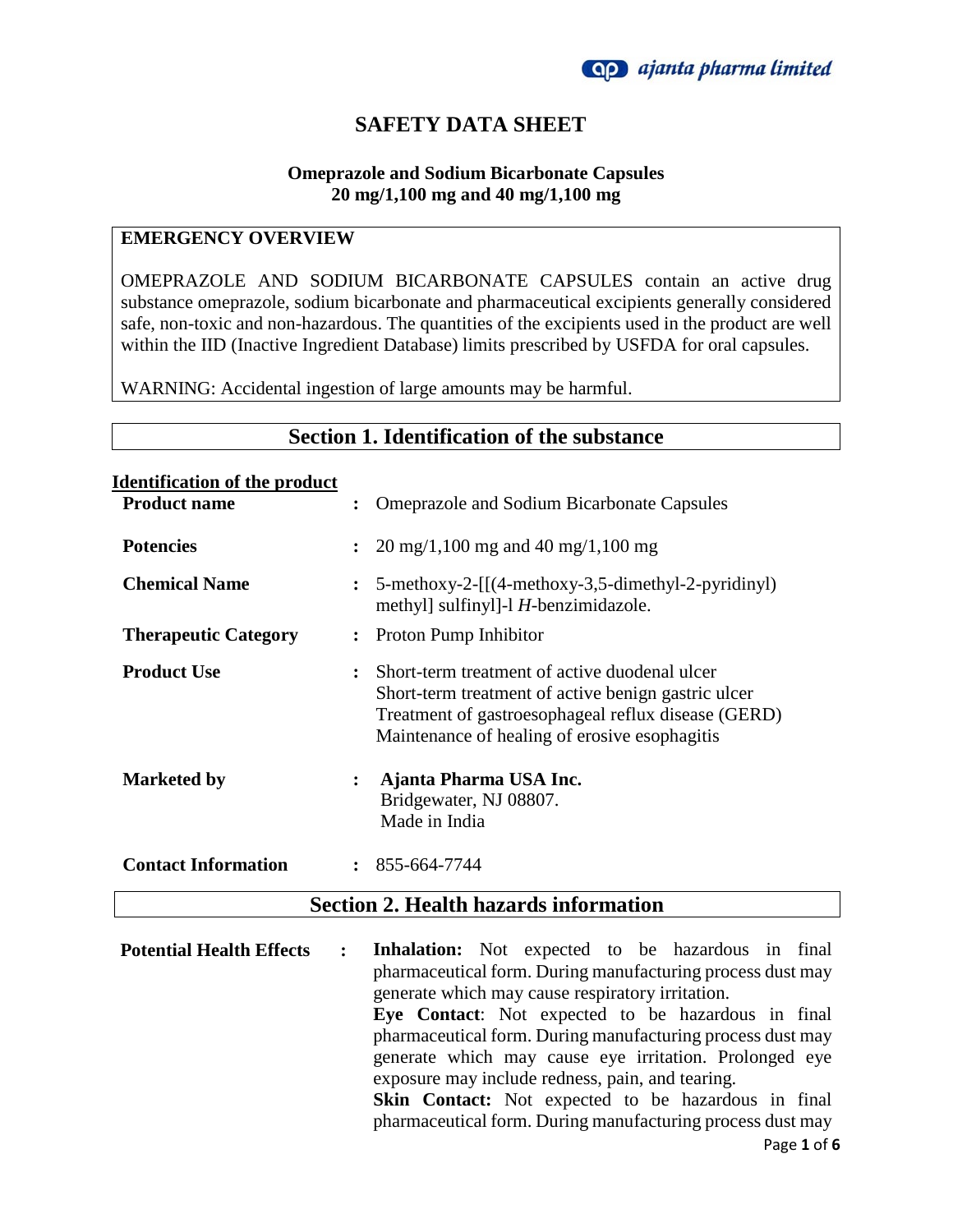

# **SAFETY DATA SHEET**

### **Omeprazole and Sodium Bicarbonate Capsules 20 mg/1,100 mg and 40 mg/1,100 mg**

### **EMERGENCY OVERVIEW**

OMEPRAZOLE AND SODIUM BICARBONATE CAPSULES contain an active drug substance omeprazole, sodium bicarbonate and pharmaceutical excipients generally considered safe, non-toxic and non-hazardous. The quantities of the excipients used in the product are well within the IID (Inactive Ingredient Database) limits prescribed by USFDA for oral capsules.

WARNING: Accidental ingestion of large amounts may be harmful.

# **Section 1. Identification of the substance**

#### **Identification of the product**

| <b>Product name</b>         | $\ddot{\phantom{a}}$ | <b>Omeprazole and Sodium Bicarbonate Capsules</b>                                                                                                                                                            |
|-----------------------------|----------------------|--------------------------------------------------------------------------------------------------------------------------------------------------------------------------------------------------------------|
| <b>Potencies</b>            | $\ddot{\cdot}$       | $20 \text{ mg}/1,100 \text{ mg}$ and 40 mg/1,100 mg                                                                                                                                                          |
| <b>Chemical Name</b>        | $\ddot{\cdot}$       | 5-methoxy-2-[[(4-methoxy-3,5-dimethyl-2-pyridinyl)<br>methyl sulfinyl - I H-benzimidazole.                                                                                                                   |
| <b>Therapeutic Category</b> |                      | : Proton Pump Inhibitor                                                                                                                                                                                      |
| <b>Product Use</b>          | $\ddot{\cdot}$       | Short-term treatment of active duodenal ulcer<br>Short-term treatment of active benign gastric ulcer<br>Treatment of gastroesophageal reflux disease (GERD)<br>Maintenance of healing of erosive esophagitis |
| <b>Marketed by</b>          | $\ddot{\cdot}$       | Ajanta Pharma USA Inc.<br>Bridgewater, NJ 08807.<br>Made in India                                                                                                                                            |
| <b>Contact Information</b>  |                      | $\colon$ 855-664-7744                                                                                                                                                                                        |

### **Section 2. Health hazards information**

Page **1** of **6 Potential Health Effects : Inhalation:** Not expected to be hazardous in final pharmaceutical form. During manufacturing process dust may generate which may cause respiratory irritation. **Eye Contact**: Not expected to be hazardous in final pharmaceutical form. During manufacturing process dust may generate which may cause eye irritation. Prolonged eye exposure may include redness, pain, and tearing. **Skin Contact:** Not expected to be hazardous in final pharmaceutical form. During manufacturing process dust may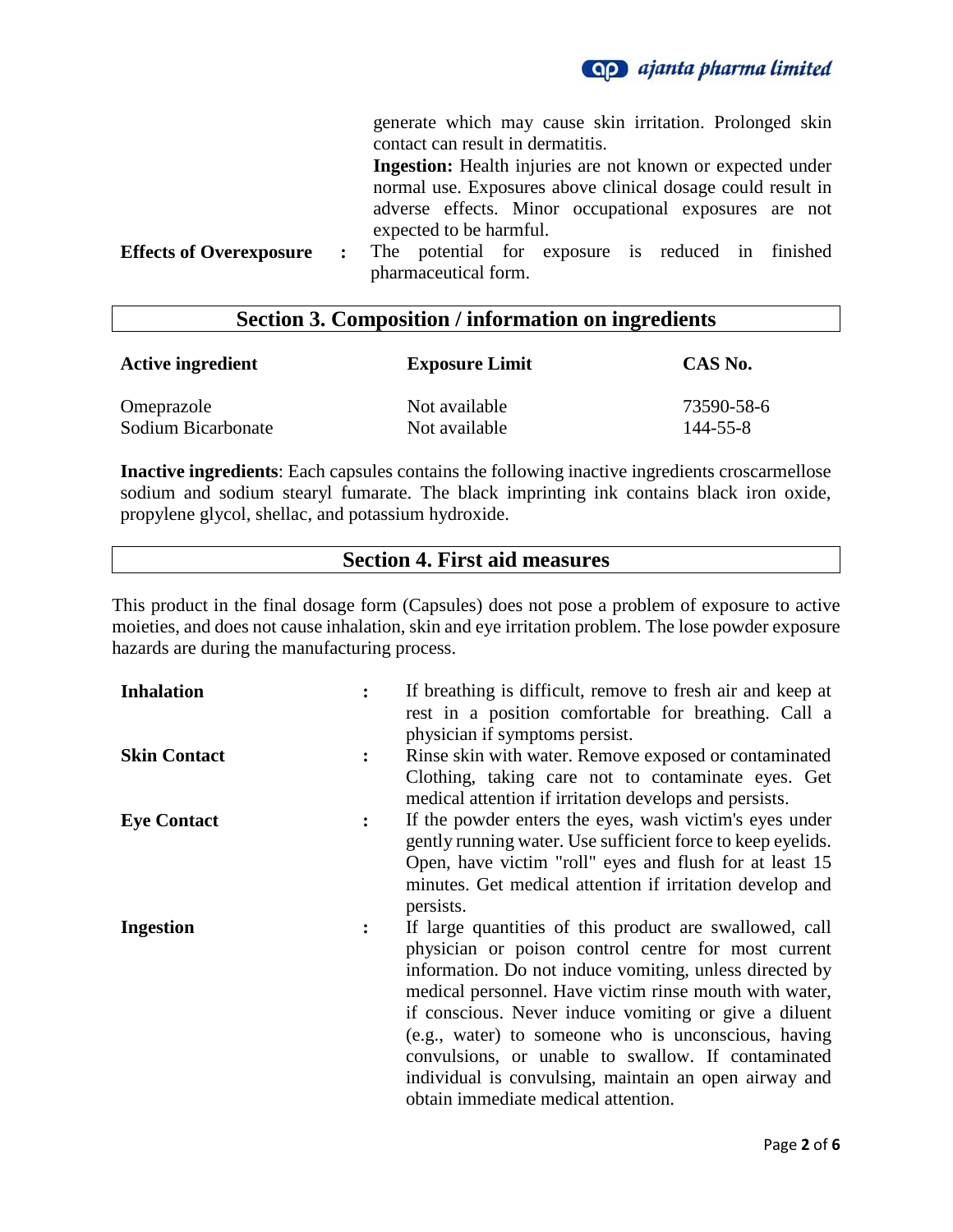

generate which may cause skin irritation. Prolonged skin contact can result in dermatitis.

|                         | <b>Ingestion:</b> Health injuries are not known or expected under |  |  |
|-------------------------|-------------------------------------------------------------------|--|--|
|                         | normal use. Exposures above clinical dosage could result in       |  |  |
|                         | adverse effects. Minor occupational exposures are not             |  |  |
| expected to be harmful. |                                                                   |  |  |
|                         |                                                                   |  |  |

**Effects of Overexposure :** The potential for exposure is reduced in finished pharmaceutical form.

### **Section 3. Composition / information on ingredients**

| <b>Active ingredient</b> | <b>Exposure Limit</b> | CAS No.    |  |
|--------------------------|-----------------------|------------|--|
| Omeprazole               | Not available         | 73590-58-6 |  |
| Sodium Bicarbonate       | Not available         | 144-55-8   |  |

**Inactive ingredients**: Each capsules contains the following inactive ingredients croscarmellose sodium and sodium stearyl fumarate. The black imprinting ink contains black iron oxide, propylene glycol, shellac, and potassium hydroxide.

### **Section 4. First aid measures**

This product in the final dosage form (Capsules) does not pose a problem of exposure to active moieties, and does not cause inhalation, skin and eye irritation problem. The lose powder exposure hazards are during the manufacturing process.

| <b>Inhalation</b>   |                | If breathing is difficult, remove to fresh air and keep at  |
|---------------------|----------------|-------------------------------------------------------------|
|                     |                | rest in a position comfortable for breathing. Call a        |
|                     |                | physician if symptoms persist.                              |
| <b>Skin Contact</b> |                | Rinse skin with water. Remove exposed or contaminated       |
|                     |                | Clothing, taking care not to contaminate eyes. Get          |
|                     |                | medical attention if irritation develops and persists.      |
| <b>Eye Contact</b>  | $\ddot{\cdot}$ | If the powder enters the eyes, wash victim's eyes under     |
|                     |                | gently running water. Use sufficient force to keep eyelids. |
|                     |                | Open, have victim "roll" eyes and flush for at least 15     |
|                     |                | minutes. Get medical attention if irritation develop and    |
|                     |                | persists.                                                   |
| <b>Ingestion</b>    | $\ddot{\cdot}$ | If large quantities of this product are swallowed, call     |
|                     |                | physician or poison control centre for most current         |
|                     |                | information. Do not induce vomiting, unless directed by     |
|                     |                | medical personnel. Have victim rinse mouth with water,      |
|                     |                | if conscious. Never induce vomiting or give a diluent       |
|                     |                | (e.g., water) to someone who is unconscious, having         |
|                     |                | convulsions, or unable to swallow. If contaminated          |
|                     |                |                                                             |
|                     |                | individual is convulsing, maintain an open airway and       |
|                     |                | obtain immediate medical attention.                         |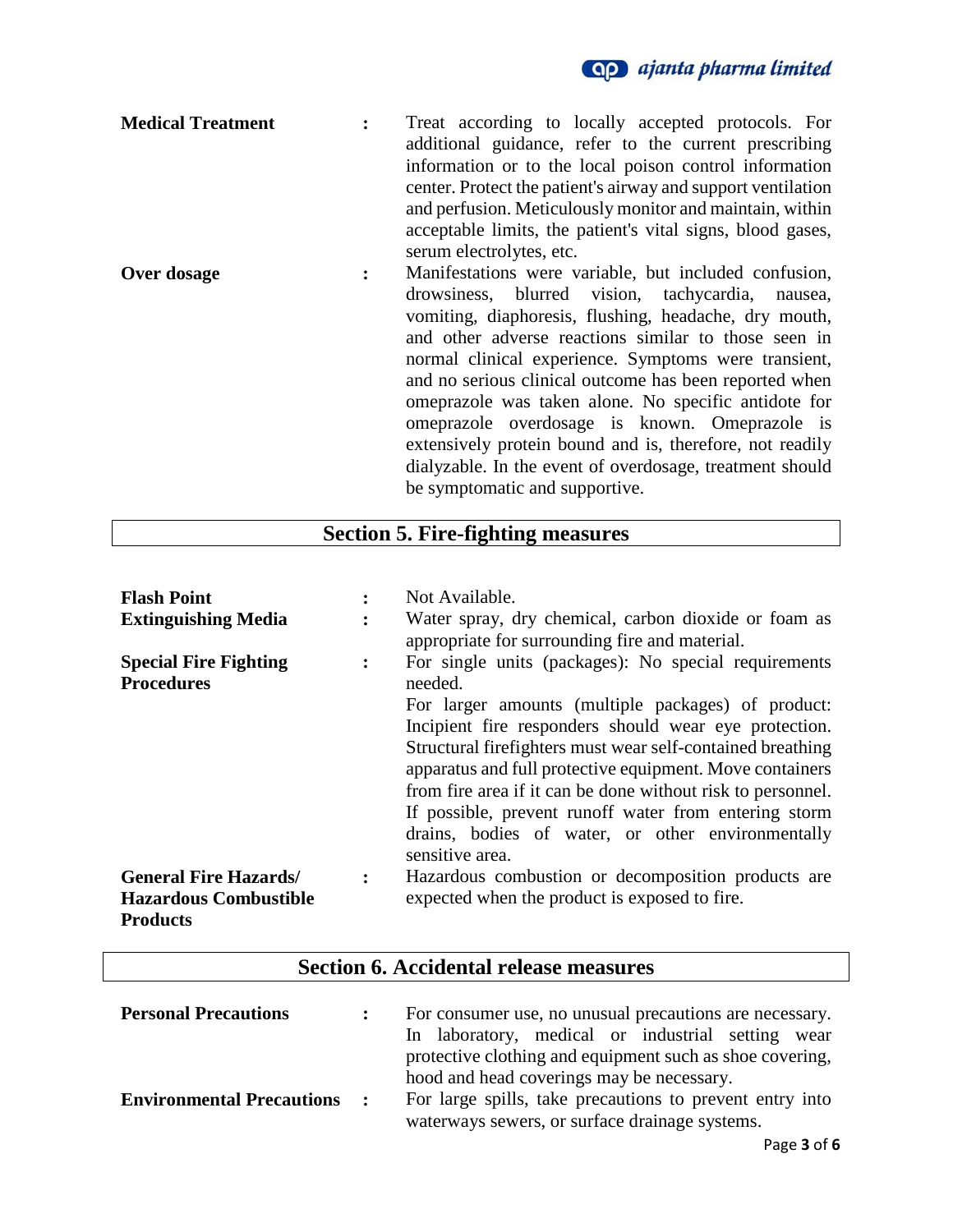| <b>Medical Treatment</b> |   | Treat according to locally accepted protocols. For<br>additional guidance, refer to the current prescribing<br>information or to the local poison control information<br>center. Protect the patient's airway and support ventilation                                                                                                                                                                                                                                                                             |
|--------------------------|---|-------------------------------------------------------------------------------------------------------------------------------------------------------------------------------------------------------------------------------------------------------------------------------------------------------------------------------------------------------------------------------------------------------------------------------------------------------------------------------------------------------------------|
|                          |   | and perfusion. Meticulously monitor and maintain, within<br>acceptable limits, the patient's vital signs, blood gases,<br>serum electrolytes, etc.                                                                                                                                                                                                                                                                                                                                                                |
| Over dosage              | ፡ | Manifestations were variable, but included confusion,<br>drowsiness, blurred vision, tachycardia, nausea,<br>vomiting, diaphoresis, flushing, headache, dry mouth,<br>and other adverse reactions similar to those seen in<br>normal clinical experience. Symptoms were transient,<br>and no serious clinical outcome has been reported when<br>omeprazole was taken alone. No specific antidote for<br>omeprazole overdosage is known. Omeprazole is<br>extensively protein bound and is, therefore, not readily |

# **Section 5. Fire-fighting measures**

be symptomatic and supportive.

dialyzable. In the event of overdosage, treatment should

| <b>Flash Point</b>                                                              |                | Not Available.                                                                                                                                                                                                                                                                                                                                                                                                                                                                                           |
|---------------------------------------------------------------------------------|----------------|----------------------------------------------------------------------------------------------------------------------------------------------------------------------------------------------------------------------------------------------------------------------------------------------------------------------------------------------------------------------------------------------------------------------------------------------------------------------------------------------------------|
| <b>Extinguishing Media</b>                                                      |                | Water spray, dry chemical, carbon dioxide or foam as<br>appropriate for surrounding fire and material.                                                                                                                                                                                                                                                                                                                                                                                                   |
| <b>Special Fire Fighting</b><br><b>Procedures</b>                               | :              | For single units (packages): No special requirements<br>needed.<br>For larger amounts (multiple packages) of product:<br>Incipient fire responders should wear eye protection.<br>Structural firefighters must wear self-contained breathing<br>apparatus and full protective equipment. Move containers<br>from fire area if it can be done without risk to personnel.<br>If possible, prevent runoff water from entering storm<br>drains, bodies of water, or other environmentally<br>sensitive area. |
| <b>General Fire Hazards/</b><br><b>Hazardous Combustible</b><br><b>Products</b> | $\ddot{\cdot}$ | Hazardous combustion or decomposition products are<br>expected when the product is exposed to fire.                                                                                                                                                                                                                                                                                                                                                                                                      |

# **Section 6. Accidental release measures**

| <b>Personal Precautions</b>      |              | For consumer use, no unusual precautions are necessary.                                                                                                       |
|----------------------------------|--------------|---------------------------------------------------------------------------------------------------------------------------------------------------------------|
|                                  |              | In laboratory, medical or industrial setting<br>wear<br>protective clothing and equipment such as shoe covering,<br>hood and head coverings may be necessary. |
| <b>Environmental Precautions</b> | $\mathbf{r}$ | For large spills, take precautions to prevent entry into<br>waterways sewers, or surface drainage systems.                                                    |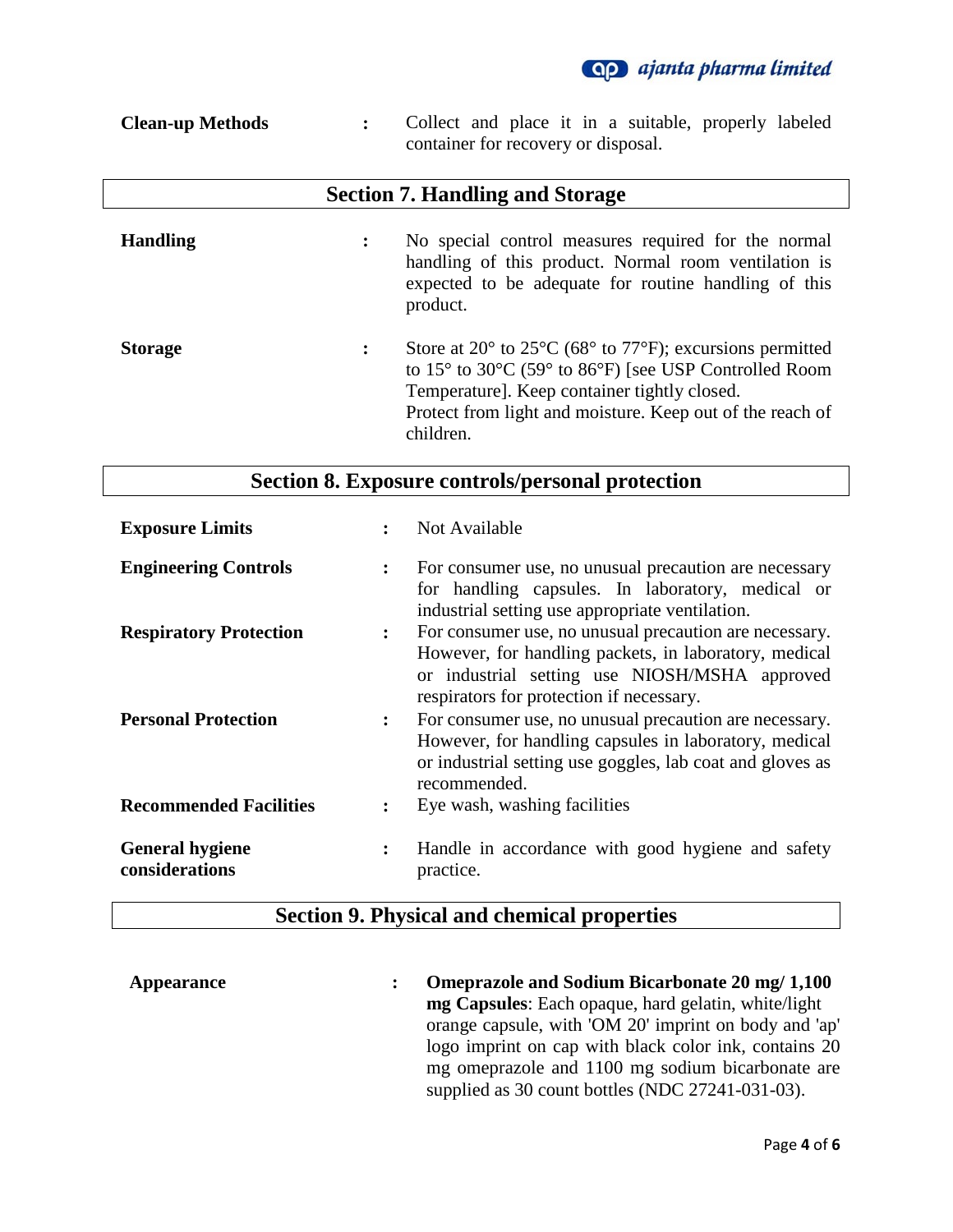

| <b>Clean-up Methods</b> | Collect and place it in a suitable, properly labeled<br>container for recovery or disposal.                                                                         |
|-------------------------|---------------------------------------------------------------------------------------------------------------------------------------------------------------------|
|                         | <b>Section 7. Handling and Storage</b>                                                                                                                              |
| <b>Handling</b>         | No special control measures required for the normal<br>handling of this product. Normal room ventilation is<br>expected to be adequate for routine handling of this |

|                | product.                                                                                                                                                                                                                                                                                                                   |
|----------------|----------------------------------------------------------------------------------------------------------------------------------------------------------------------------------------------------------------------------------------------------------------------------------------------------------------------------|
| <b>Storage</b> | Store at $20^{\circ}$ to $25^{\circ}$ C (68 $^{\circ}$ to 77 $^{\circ}$ F); excursions permitted<br>to $15^{\circ}$ to $30^{\circ}$ C (59 $^{\circ}$ to $86^{\circ}$ F) [see USP Controlled Room<br>Temperature]. Keep container tightly closed.<br>Protect from light and moisture. Keep out of the reach of<br>children. |

# **Section 8. Exposure controls/personal protection**

| <b>Exposure Limits</b>                   |                      | Not Available                                                                                                                                                                                                |
|------------------------------------------|----------------------|--------------------------------------------------------------------------------------------------------------------------------------------------------------------------------------------------------------|
| <b>Engineering Controls</b>              | $\ddot{\cdot}$       | For consumer use, no unusual precaution are necessary<br>for handling capsules. In laboratory, medical or<br>industrial setting use appropriate ventilation.                                                 |
| <b>Respiratory Protection</b>            | $\ddot{\cdot}$       | For consumer use, no unusual precaution are necessary.<br>However, for handling packets, in laboratory, medical<br>or industrial setting use NIOSH/MSHA approved<br>respirators for protection if necessary. |
| <b>Personal Protection</b>               | $\ddot{\phantom{a}}$ | For consumer use, no unusual precaution are necessary.<br>However, for handling capsules in laboratory, medical<br>or industrial setting use goggles, lab coat and gloves as<br>recommended.                 |
| <b>Recommended Facilities</b>            | $\ddot{\cdot}$       | Eye wash, washing facilities                                                                                                                                                                                 |
| <b>General hygiene</b><br>considerations | $\ddot{\cdot}$       | Handle in accordance with good hygiene and safety<br>practice.                                                                                                                                               |

# **Section 9. Physical and chemical properties**

**Appearance : Omeprazole and Sodium Bicarbonate 20 mg/ 1,100 mg Capsules**: Each opaque, hard gelatin, white/light orange capsule, with 'OM 20' imprint on body and 'ap' logo imprint on cap with black color ink, contains 20 mg omeprazole and 1100 mg sodium bicarbonate are supplied as 30 count bottles (NDC 27241-031-03).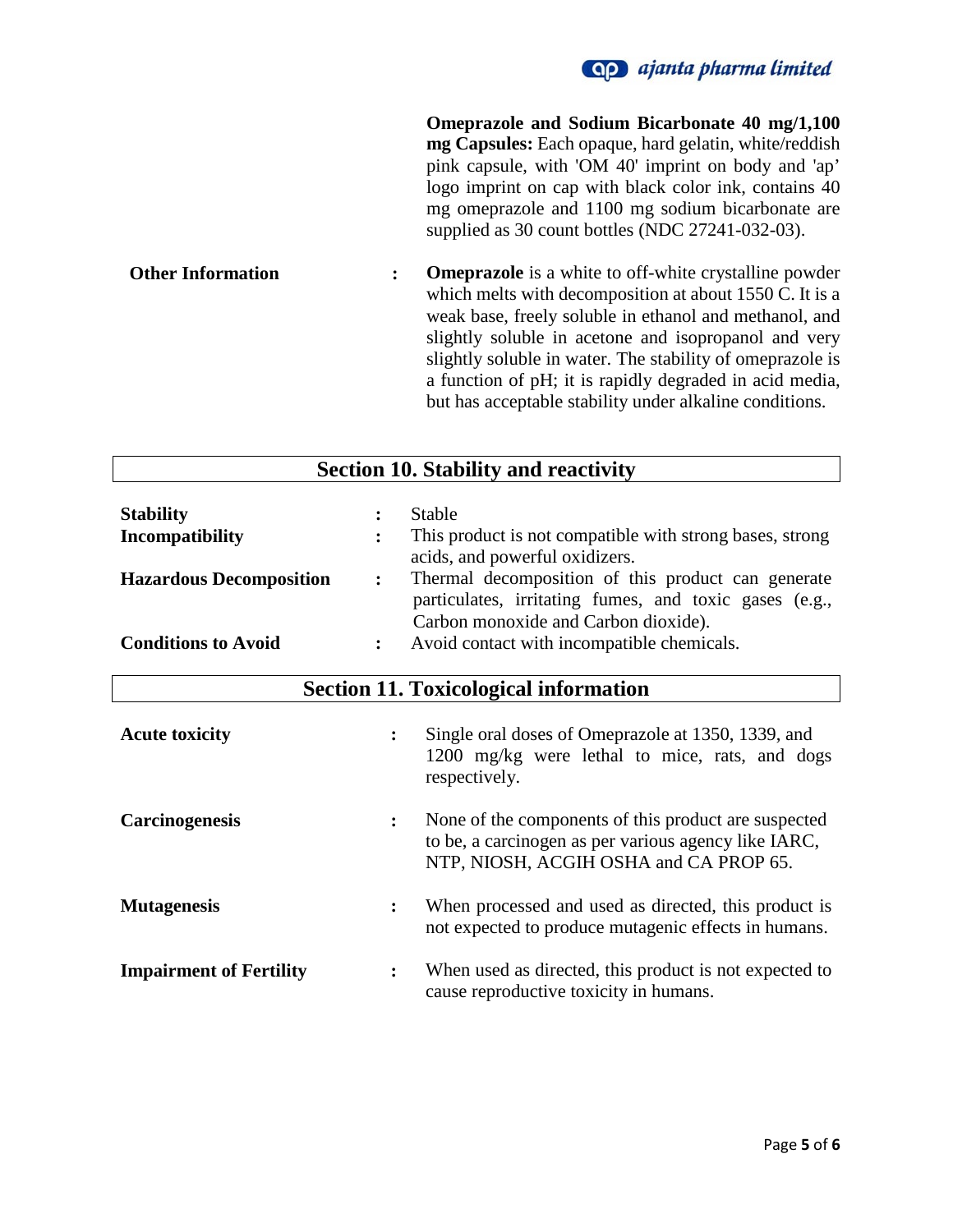

**Omeprazole and Sodium Bicarbonate 40 mg/1,100 mg Capsules:** Each opaque, hard gelatin, white/reddish pink capsule, with 'OM 40' imprint on body and 'ap' logo imprint on cap with black color ink, contains 40 mg omeprazole and 1100 mg sodium bicarbonate are supplied as 30 count bottles (NDC 27241-032-03).

**Other Information : Omeprazole** is a white to off-white crystalline powder which melts with decomposition at about 1550 C. It is a weak base, freely soluble in ethanol and methanol, and slightly soluble in acetone and isopropanol and very slightly soluble in water. The stability of omeprazole is a function of pH; it is rapidly degraded in acid media, but has acceptable stability under alkaline conditions.

| <b>Section 10. Stability and reactivity</b>                                                         |                |                                                                                                                                                                                                                                                                                                                   |  |  |
|-----------------------------------------------------------------------------------------------------|----------------|-------------------------------------------------------------------------------------------------------------------------------------------------------------------------------------------------------------------------------------------------------------------------------------------------------------------|--|--|
| <b>Stability</b><br>Incompatibility<br><b>Hazardous Decomposition</b><br><b>Conditions to Avoid</b> | $\ddot{\cdot}$ | <b>Stable</b><br>This product is not compatible with strong bases, strong<br>acids, and powerful oxidizers.<br>Thermal decomposition of this product can generate<br>particulates, irritating fumes, and toxic gases (e.g.,<br>Carbon monoxide and Carbon dioxide).<br>Avoid contact with incompatible chemicals. |  |  |
| <b>Section 11. Toxicological information</b>                                                        |                |                                                                                                                                                                                                                                                                                                                   |  |  |
| <b>Acute toxicity</b>                                                                               |                | Single oral doses of Omeprazole at 1350, 1339, and<br>1200 mg/kg were lethal to mice, rats, and dogs<br>respectively.                                                                                                                                                                                             |  |  |
| <b>Carcinogenesis</b>                                                                               |                | None of the components of this product are suspected<br>to be, a carcinogen as per various agency like IARC,<br>NTP, NIOSH, ACGIH OSHA and CA PROP 65.                                                                                                                                                            |  |  |
| <b>Mutagenesis</b>                                                                                  |                | When processed and used as directed, this product is<br>not expected to produce mutagenic effects in humans.                                                                                                                                                                                                      |  |  |
| <b>Impairment of Fertility</b>                                                                      |                | When used as directed, this product is not expected to<br>cause reproductive toxicity in humans.                                                                                                                                                                                                                  |  |  |